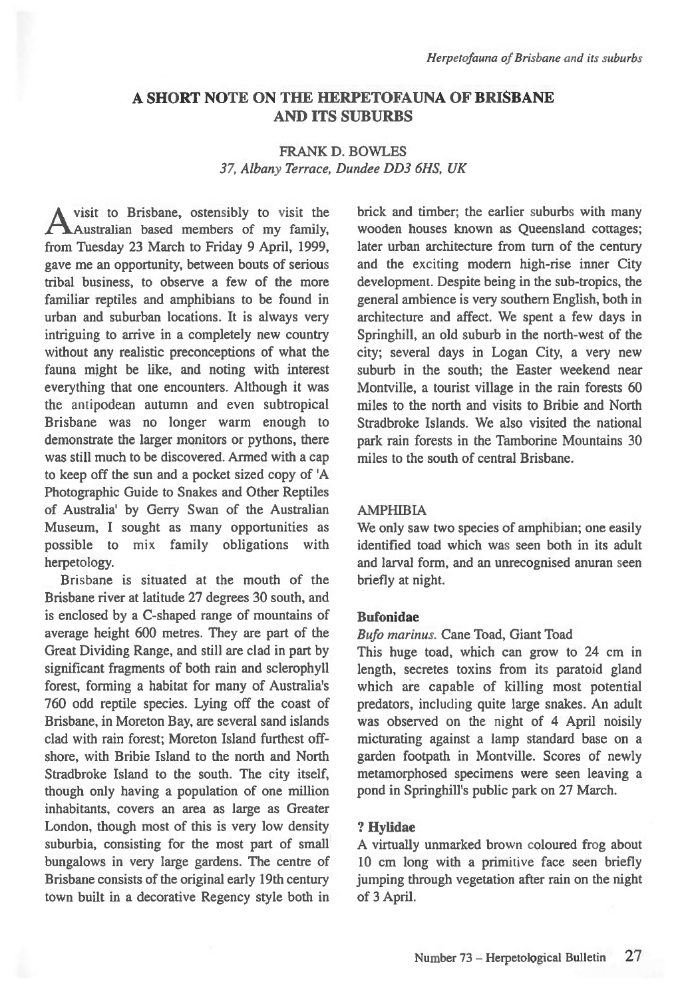# **A SHORT NOTE ON THE HERPETOFAUNA OF BRISBANE AND ITS SUBURBS**

# FRANK D. BOWLES *37, Albany Terrace, Dundee DD3 6HS, UK*

visit to Brisbane, ostensibly to visit the  $\bigcap$  Australian based members of my family, from Tuesday 23 March to Friday 9 April, 1999, gave me an opportunity, between bouts of serious tribal business, to observe a few of the more familiar reptiles and amphibians to be found in urban and suburban locations. It is always very intriguing to arrive in a completely new country without any realistic preconceptions of what the fauna might be like, and noting with interest everything that one encounters. Although it was the antipodean autumn and even subtropical Brisbane was no longer warm enough to demonstrate the larger monitors or pythons, there was still much to be discovered. Armed with a cap to keep off the sun and a pocket sized copy of 'A Photographic Guide to Snakes and Other Reptiles of Australia' by Gerry Swan of the Australian Museum, I sought as many opportunities as possible to mix family obligations with herpetology.

Brisbane is situated at the mouth of the Brisbane river at latitude 27 degrees 30 south, and is enclosed by a C-shaped range of mountains of average height 600 metres. They are part of the Great Dividing Range, and still are clad in part by significant fragments of both rain and sclerophyll forest, forming a habitat for many of Australia's 760 odd reptile species. Lying off the coast of Brisbane, in Moreton Bay, are several sand islands clad with rain forest; Moreton Island furthest offshore, with Bribie Island to the north and North Stradbroke Island to the south. The city itself, though only having a population of one million inhabitants, covers an area as large as Greater London, though most of this is very low density suburbia, consisting for the most part of small bungalows in very large gardens. The centre of Brisbane consists of the original early 19th century town built in a decorative Regency style both in brick and timber; the earlier suburbs with many wooden houses known as Queensland cottages; later urban architecture from turn of the century and the exciting modern high-rise inner City development. Despite being in the sub-tropics, the general ambience is very southern English, both in architecture and affect. We spent a few days in Springhill, an old suburb in the north-west of the city; several days in Logan City, a very new suburb in the south; the Easter weekend near Montville, a tourist village in the rain forests 60 miles to the north and visits to Bribie and North Stradbroke Islands. We also visited the national park rain forests in the Tamborine Mountains 30 miles to the south of central Brisbane.

### **AMPHIBIA**

We only saw two species of amphibian; one easily identified toad which was seen both in its adult and larval form, and an unrecognised anuran seen briefly at night.

#### **Bufonidae**

#### *Bufo marinus.* Cane Toad, Giant Toad

This huge toad, which can grow to 24 cm in length, secretes toxins from its paratoid gland which are capable of killing most potential predators, including quite large snakes. An adult was observed on the night of 4 April noisily micturating against a lamp standard base on a garden footpath in Montville. Scores of newly metamorphosed specimens were seen leaving a pond in Springhill's public park on 27 March.

#### **? Hylidae**

A virtually unmarked brown coloured frog about 10 cm long with a primitive face seen briefly jumping through vegetation after rain on the night of 3 April.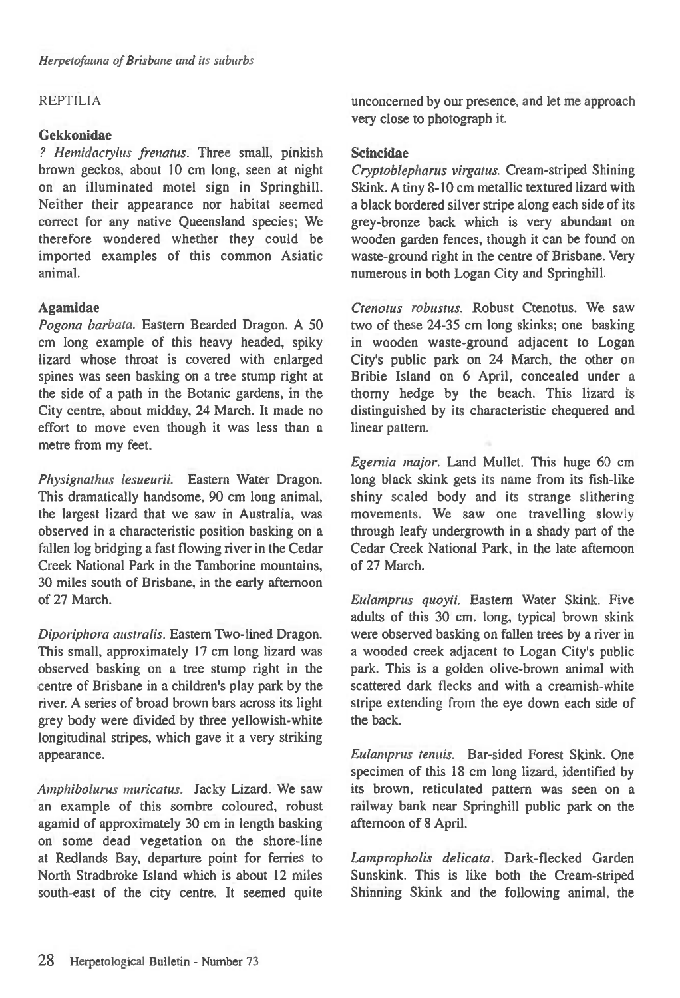## REPTILIA

## **Gekkonidae**

*? Hemidactylus frenatus.* **Three** small, pinkish brown geckos, about 10 cm long, seen at night on an illuminated motel sign in Springhill. Neither their appearance nor habitat seemed correct for any native Queensland species; We therefore wondered whether they could be imported examples of this common Asiatic animal.

# **Agamidae**

*Pogona barbata.* Eastern Bearded Dragon. A 50 cm long example of this heavy headed, spiky lizard whose throat is covered with enlarged spines was seen basking on a tree stump right at the side of a path in the Botanic gardens, in the City centre, about midday, 24 March. It made no effort to move even though it was less than a metre from my feet.

*Physignathus lesueurii.* Eastern Water Dragon. This dramatically handsome, 90 cm long animal, the largest lizard that we saw in Australia, was observed in a characteristic position basking on a fallen log bridging a fast flowing river in the Cedar Creek National Park in the Tamborine mountains, 30 miles south of Brisbane, in the early afternoon of 27 March.

*Diporiphora australis.* Eastern Two-lined Dragon. This small, approximately 17 cm long lizard was observed basking on a tree stump right in the centre of Brisbane in a children's play park by the river. A series of broad brown bars across its light grey body were divided by three yellowish-white longitudinal stripes, which gave it a very striking appearance.

*Amphibolurus muricatus.* Jacky Lizard. We saw an example of this sombre coloured, robust agamid of approximately 30 cm in length basking on some dead vegetation on the shore-line at Redlands Bay, departure point for ferries to North Stradbroke Island which is about 12 miles south-east of the city centre. It seemed quite unconcerned by our presence, and let me approach very close to photograph it.

### **Scincidae**

*Cryptoblepharus virgatus.* Cream-striped Shining Skink. A tiny 8-10 cm metallic textured lizard with a black bordered silver stripe along each side of its grey-bronze back which is very abundant on wooden garden fences, though it can be found on waste-ground right in the centre of Brisbane. Very numerous in both Logan City and Springhill.

*Ctenotus robustus.* Robust Ctenotus. We saw two of these 24-35 cm long skinks; one basking in wooden waste-ground adjacent to Logan City's public park on 24 March, the other on Bribie Island on 6 April, concealed under a thorny hedge by the beach. This lizard is distinguished by its characteristic chequered and linear pattern.

*Egernia major.* Land Mullet. This huge 60 cm long black skink gets its name from its fish-like shiny scaled body and its strange slithering movements. We saw one travelling slowly through leafy undergrowth in a shady part of the Cedar Creek National Park, in the late afternoon of 27 March.

*Eulamprus quoyii.* Eastern Water Skink. Five adults of this 30 cm. long, typical brown skink were observed basking on fallen trees by a river in a wooded creek adjacent to Logan City's public park. This is a golden olive-brown animal with scattered dark flecks and with a creamish-white stripe extending from the eye down each side of the back.

*Eulamprus tennis.* Bar-sided Forest Skink. One specimen of this 18 cm long lizard, identified by its brown, reticulated pattern was seen on a railway bank near Springhill public park on the afternoon of 8 April.

*Lampropholis delicata.* Dark-flecked Garden Sunskink. This is like both the Cream-striped Shinning Skink and the following animal, the